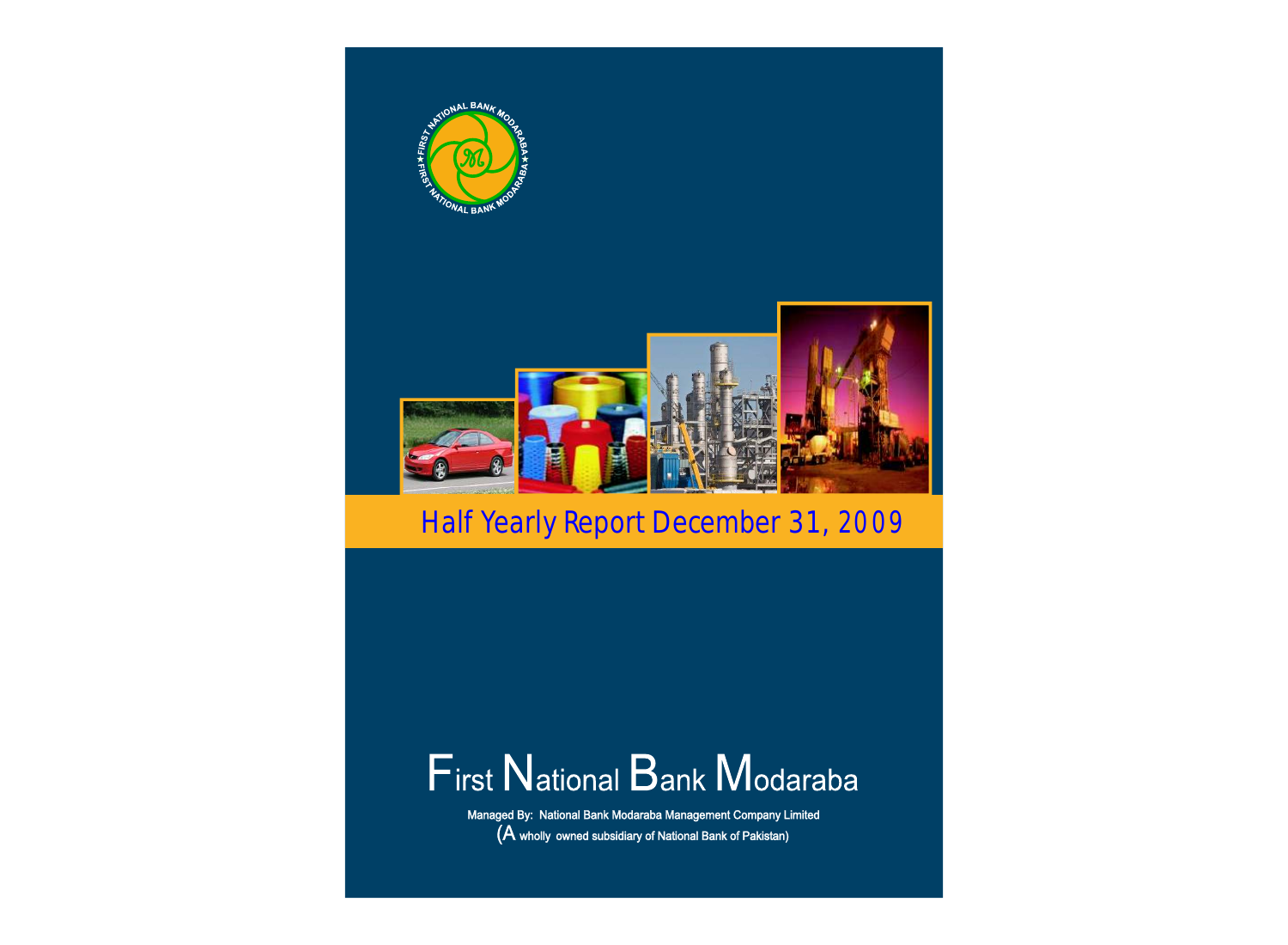

# First National Bank Modaraba

Managed By: National Bank Modaraba Management Company Limited  $(A$  wholly owned subsidiary of National Bank of Pakistan)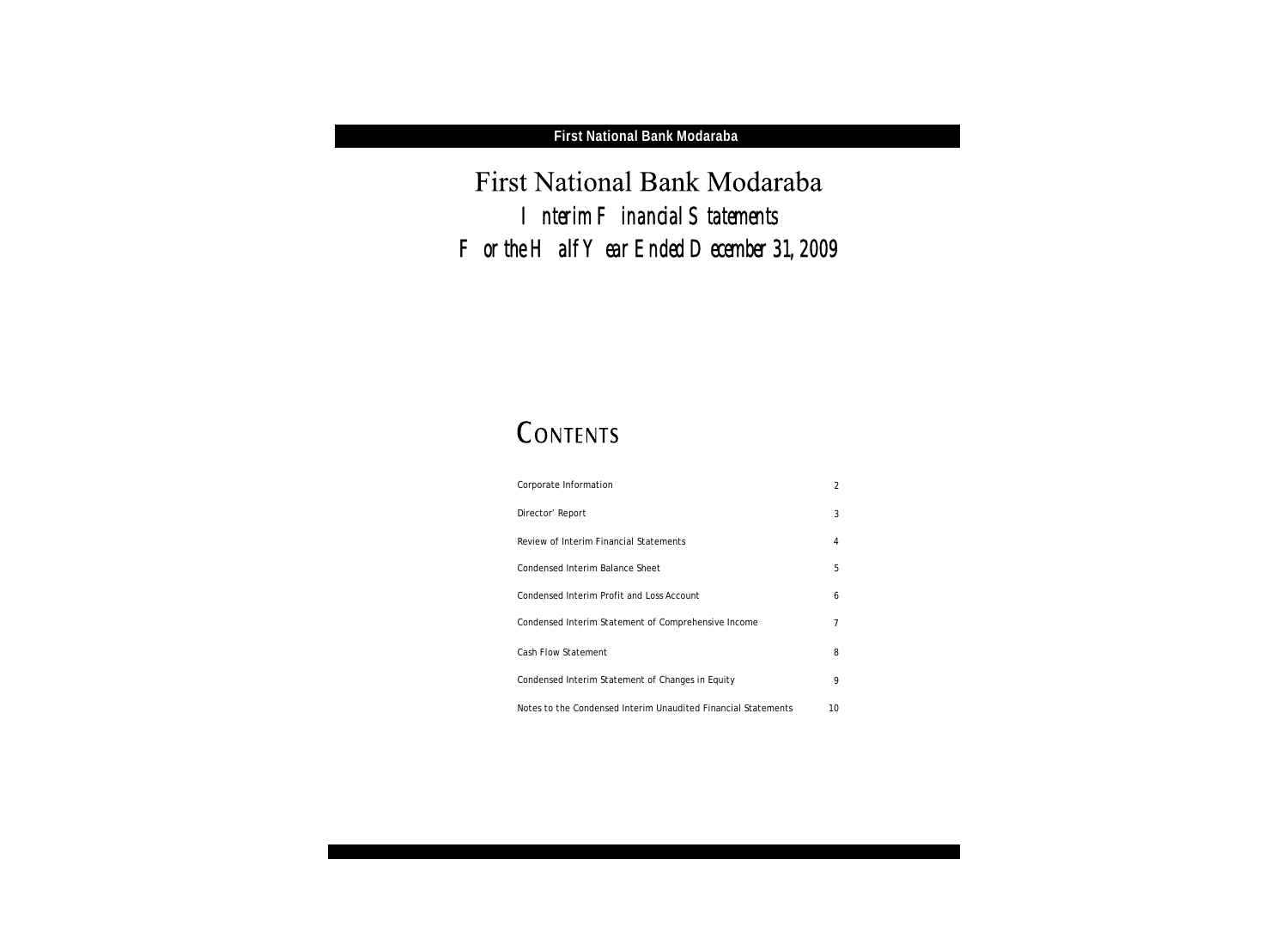First National Bank Modaraba *Interim Financial Statements For the Half Year Ended December 31, 2009*

## CONTENTS

| Corporate Information                                         | 2  |
|---------------------------------------------------------------|----|
| Director' Report                                              | 3  |
| Review of Interim Financial Statements                        | 4  |
| Condensed Interim Balance Sheet                               | 5  |
| Condensed Interim Profit and Loss Account                     | 6  |
| Condensed Interim Statement of Comprehensive Income           | 7  |
| Cash Flow Statement                                           | 8  |
| Condensed Interim Statement of Changes in Equity              | 9  |
| Notes to the Condensed Interim Unaudited Financial Statements | 10 |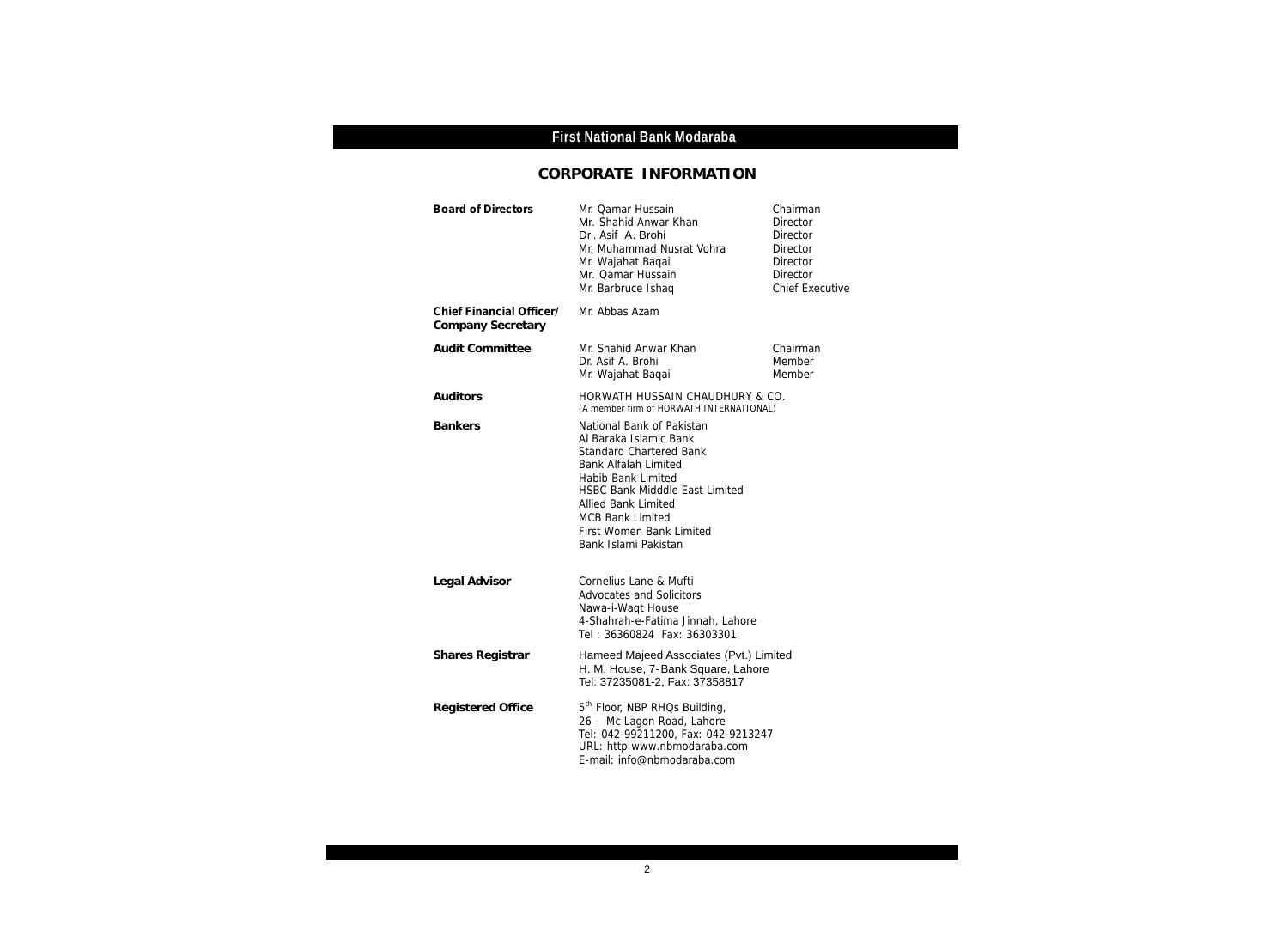## **CORPORATE INFORMATION**

| <b>Board of Directors</b>                            | Mr. Qamar Hussain<br>Mr. Shahid Anwar Khan<br>Dr. Asif A. Brohi<br>Mr. Muhammad Nusrat Vohra<br>Mr. Wajahat Baqai<br>Mr. Qamar Hussain<br>Mr. Barbruce Ishaq                                                                                                                                     | Chairman<br>Director<br>Director<br>Director<br>Director<br><b>Director</b><br><b>Chief Executive</b> |
|------------------------------------------------------|--------------------------------------------------------------------------------------------------------------------------------------------------------------------------------------------------------------------------------------------------------------------------------------------------|-------------------------------------------------------------------------------------------------------|
| <b>Chief Financial Officer/</b><br>Company Secretary | Mr. Abbas Azam                                                                                                                                                                                                                                                                                   |                                                                                                       |
| <b>Audit Committee</b>                               | Mr. Shahid Anwar Khan<br>Dr. Asif A. Brohi<br>Mr. Wajahat Baqai                                                                                                                                                                                                                                  | Chairman<br>Member<br>Member                                                                          |
| Auditors                                             | HORWATH HUSSAIN CHAUDHURY & CO.<br>(A member firm of HORWATH INTERNATIONAL)                                                                                                                                                                                                                      |                                                                                                       |
| <b>Bankers</b>                                       | National Bank of Pakistan<br>Al Baraka Islamic Bank<br><b>Standard Chartered Bank</b><br><b>Bank Alfalah Limited</b><br>Habib Bank Limited<br>HSBC Bank Midddle East Limited<br><b>Allied Bank Limited</b><br><b>MCB Bank Limited</b><br><b>First Women Bank Limited</b><br>Bank Islami Pakistan |                                                                                                       |
| Legal Advisor                                        | Cornelius Lane & Mufti<br><b>Advocates and Solicitors</b><br>Nawa-i-Waqt House<br>4-Shahrah-e-Fatima Jinnah, Lahore<br>Tel: 36360824 Fax: 36303301                                                                                                                                               |                                                                                                       |
| Shares Registrar                                     | Hameed Majeed Associates (Pvt.) Limited<br>H. M. House, 7-Bank Square, Lahore<br>Tel: 37235081-2, Fax: 37358817                                                                                                                                                                                  |                                                                                                       |
| <b>Registered Office</b>                             | 5 <sup>th</sup> Floor, NBP RHQs Building,<br>26 - Mc Lagon Road, Lahore<br>Tel: 042-99211200, Fax: 042-9213247<br>URL: http:www.nbmodaraba.com<br>E-mail: info@nbmodaraba.com                                                                                                                    |                                                                                                       |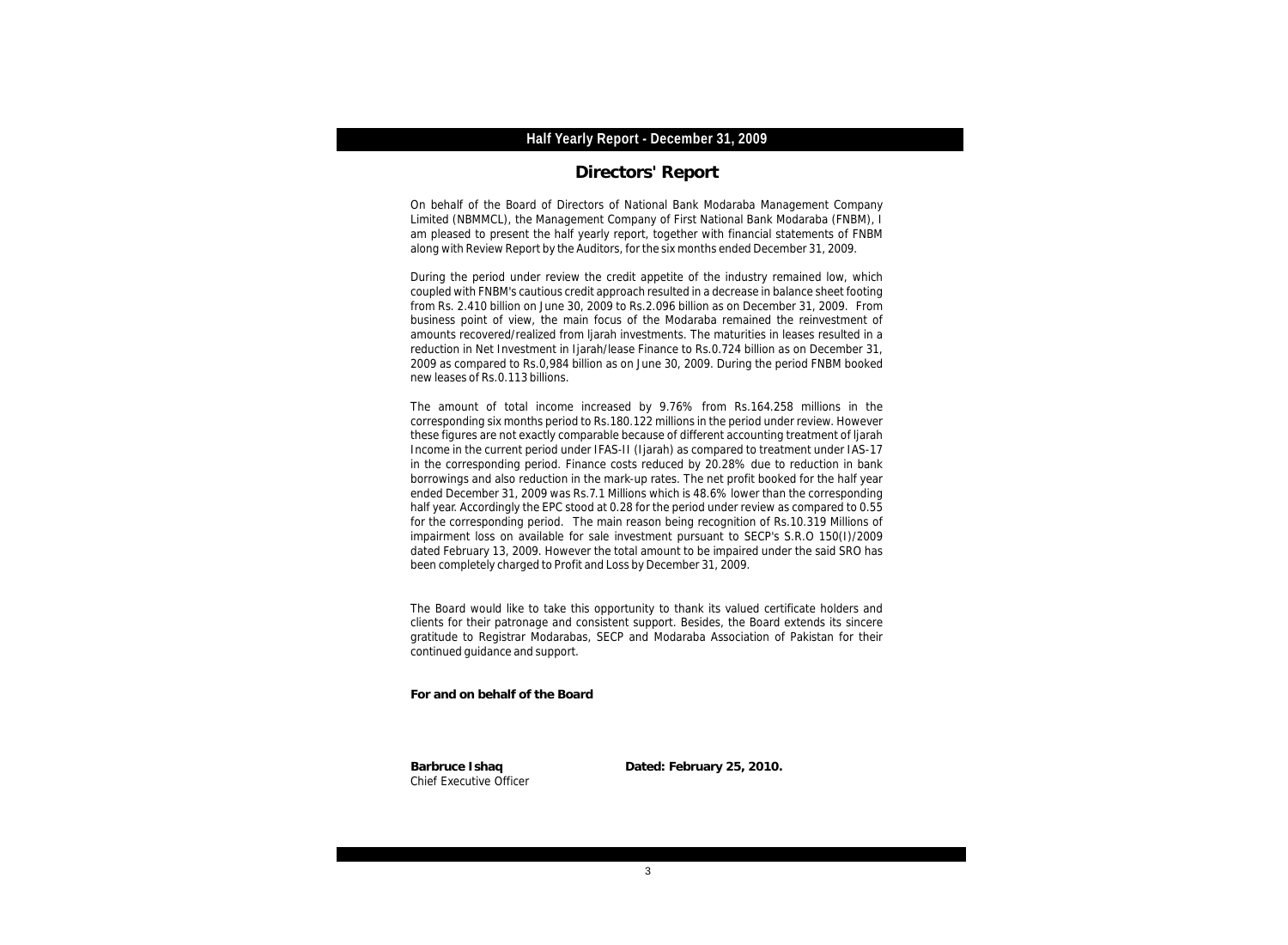### **Directors' Report**

On behalf of the Board of Directors of National Bank Modaraba Management Company Limited (NBMMCL), the Management Company of First National Bank Modaraba (FNBM), I am pleased to present the half yearly report, together with financial statements of FNBM along with Review Report by the Auditors, for the six months ended December 31, 2009.

During the period under review the credit appetite of the industry remained low, which coupled with FNBM's cautious credit approach resulted in a decrease in balance sheet footing from Rs. 2.410 billion on June 30, 2009 to Rs.2.096 billion as on December 31, 2009. From business point of view, the main focus of the Modaraba remained the reinvestment of amounts recovered/realized from ljarah investments. The maturities in leases resulted in a reduction in Net Investment in Ijarah/lease Finance to Rs.0.724 billion as on December 31, 2009 as compared to Rs.0,984 billion as on June 30, 2009. During the period FNBM booked new leases of Rs.0.113 billions.

The amount of total income increased by 9.76% from Rs.164.258 millions in the corresponding six months period to Rs.180.122 millions in the period under review. However these figures are not exactly comparable because of different accounting treatment of ljarah Income in the current period under IFAS-II (Ijarah) as compared to treatment under IAS-17 in the corresponding period. Finance costs reduced by 20.28% due to reduction in bank borrowings and also reduction in the mark-up rates. The net profit booked for the half year ended December 31, 2009 was Rs.7.1 Millions which is 48.6% lower than the corresponding half year. Accordingly the EPC stood at 0.28 for the period under review as compared to 0.55 for the corresponding period. The main reason being recognition of Rs.10.319 Millions of impairment loss on available for sale investment pursuant to SECP's S.R.O 150(I)/2009 dated February 13, 2009. However the total amount to be impaired under the said SRO has been completely charged to Profit and Loss by December 31, 2009.

The Board would like to take this opportunity to thank its valued certificate holders and clients for their patronage and consistent support. Besides, the Board extends its sincere gratitude to Registrar Modarabas, SECP and Modaraba Association of Pakistan for their continued guidance and support.

**For and on behalf of the Board**

Chief Executive Officer

**Barbruce Ishaq Dated: February 25, 2010.**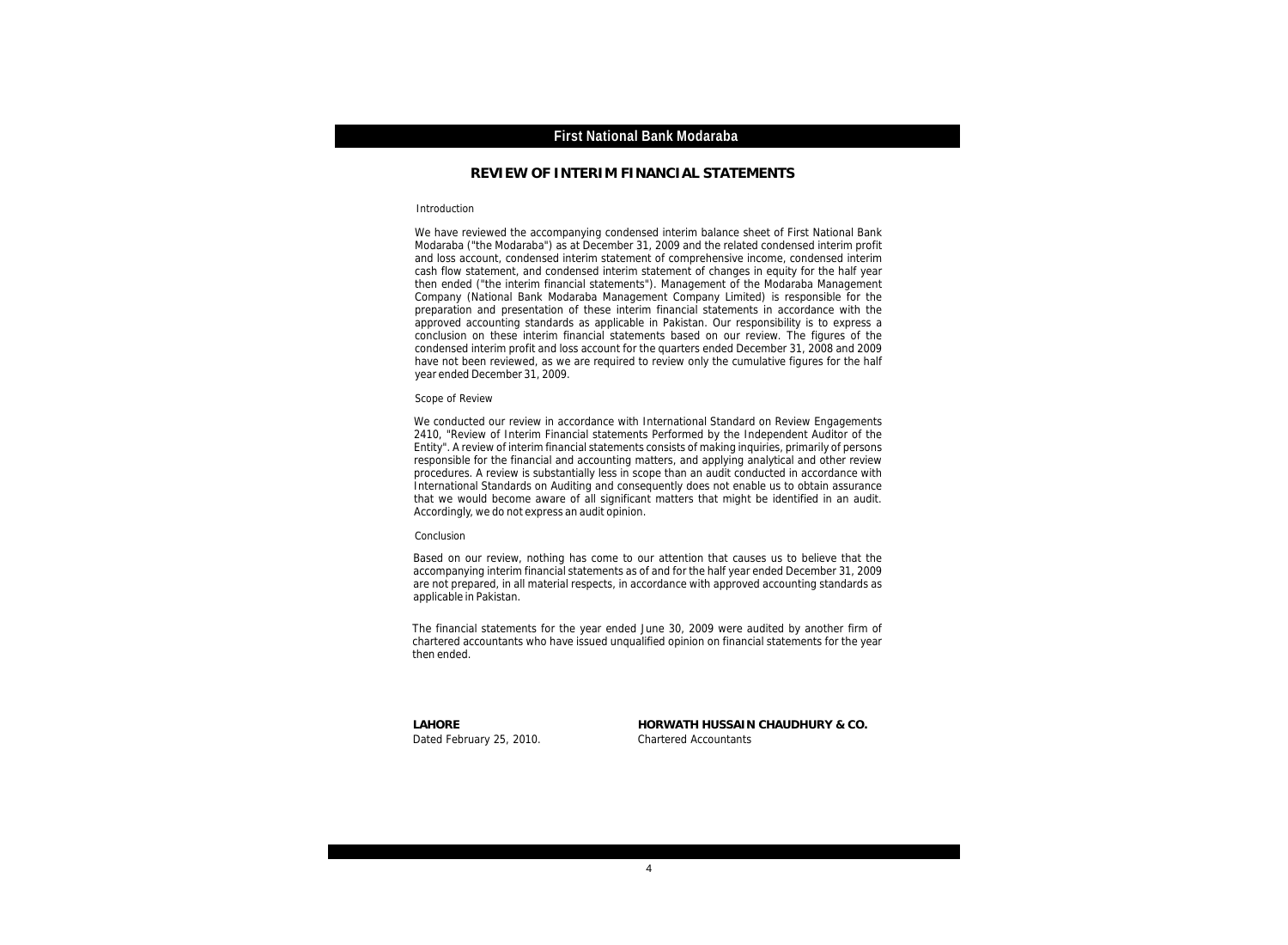#### **REVIEW OF INTERIM FINANCIAL STATEMENTS**

#### Introduction

We have reviewed the accompanying condensed interim balance sheet of First National Bank Modaraba ("the Modaraba") as at December 31, 2009 and the related condensed interim profit and loss account, condensed interim statement of comprehensive income, condensed interim cash flow statement, and condensed interim statement of changes in equity for the half year then ended ("the interim financial statements"). Management of the Modaraba Management Company (National Bank Modaraba Management Company Limited) is responsible for the preparation and presentation of these interim financial statements in accordance with the approved accounting standards as applicable in Pakistan. Our responsibility is to express a conclusion on these interim financial statements based on our review. The figures of the condensed interim profit and loss account for the quarters ended December 31, 2008 and 2009 have not been reviewed, as we are required to review only the cumulative figures for the half year ended December 31, 2009.

#### Scope of Review

We conducted our review in accordance with International Standard on Review Engagements 2410, "Review of Interim Financial statements Performed by the Independent Auditor of the Entity". A review of interim financial statements consists of making inquiries, primarily of persons responsible for the financial and accounting matters, and applying analytical and other review procedures. A review is substantially less in scope than an audit conducted in accordance with International Standards on Auditing and consequently does not enable us to obtain assurance that we would become aware of all significant matters that might be identified in an audit. Accordingly, we do not express an audit opinion.

#### Conclusion

Based on our review, nothing has come to our attention that causes us to believe that the accompanying interim financial statements as of and for the half year ended December 31, 2009 are not prepared, in all material respects, in accordance with approved accounting standards as applicable in Pakistan.

The financial statements for the year ended June 30, 2009 were audited by another firm of chartered accountants who have issued unqualified opinion on financial statements for the year then ended.

Dated February 25, 2010. Chartered Accountants

**LAHORE HORWATH HUSSAIN CHAUDHURY & CO.**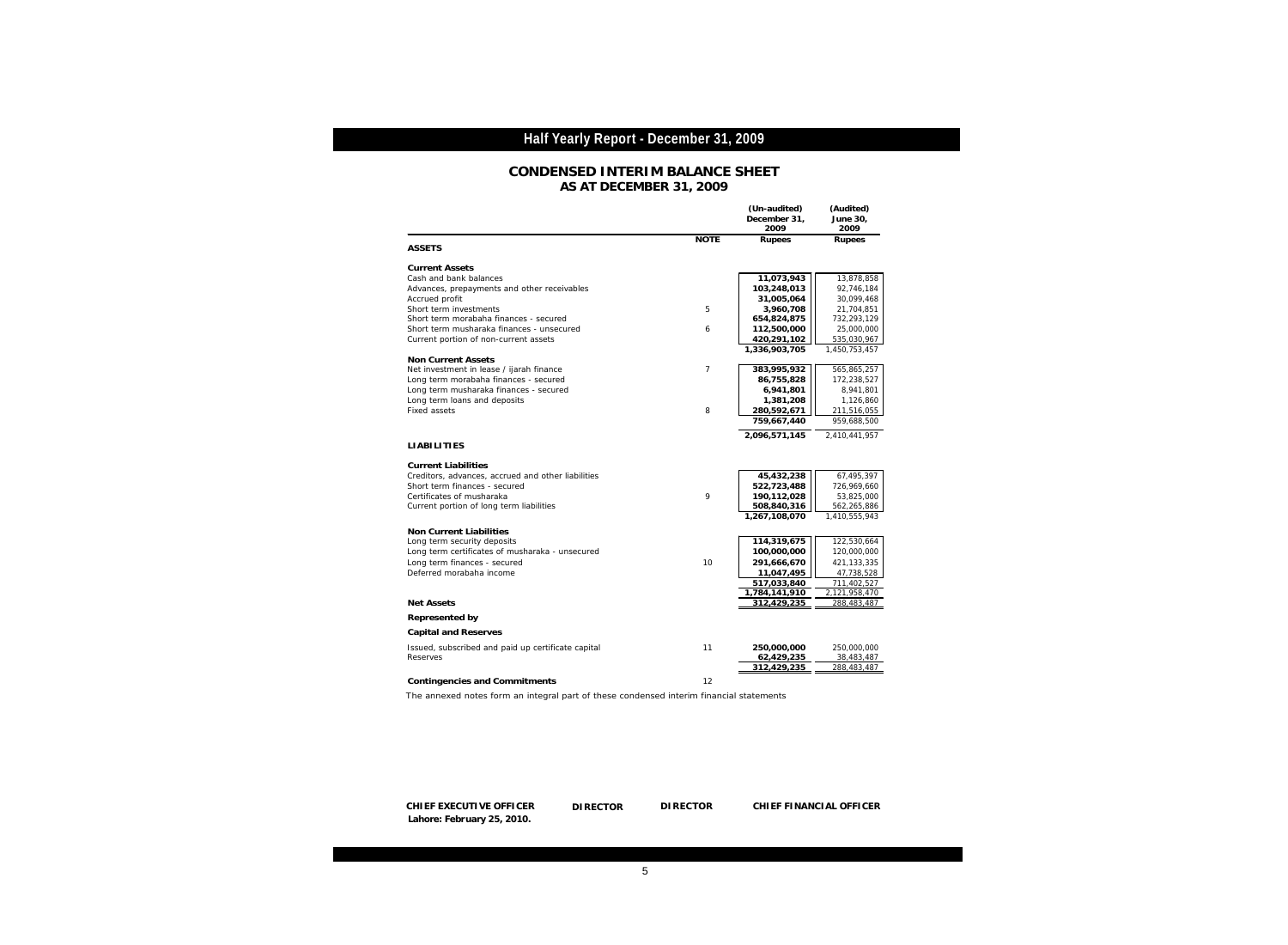#### **CONDENSED INTERIM BALANCE SHEET AS AT DECEMBER 31, 2009**

|                                                                                         |                | (Un-audited)<br>December 31,<br>2009 | (Audited)<br>June 30,<br>2009 |
|-----------------------------------------------------------------------------------------|----------------|--------------------------------------|-------------------------------|
| <b>ASSETS</b>                                                                           | <b>NOTE</b>    | Rupees                               | Rupees                        |
| <b>Current Assets</b>                                                                   |                |                                      |                               |
| Cash and bank balances                                                                  |                | 11,073,943                           | 13,878,858                    |
| Advances, prepayments and other receivables                                             |                | 103,248,013                          | 92,746,184                    |
| Accrued profit                                                                          |                | 31,005,064                           | 30,099,468                    |
| Short term investments                                                                  | 5              | 3,960,708                            | 21,704,851                    |
| Short term morabaha finances - secured                                                  |                | 654,824,875                          | 732,293,129                   |
| Short term musharaka finances - unsecured                                               | 6              | 112,500,000                          | 25,000,000                    |
| Current portion of non-current assets                                                   |                | 420,291,102                          | 535,030,967                   |
| Non Current Assets                                                                      |                | 1,336,903,705                        | 1,450,753,457                 |
| Net investment in lease / ijarah finance                                                | $\overline{7}$ | 383,995,932                          | 565,865,257                   |
| Long term morabaha finances - secured                                                   |                | 86,755,828                           | 172,238,527                   |
| Long term musharaka finances - secured                                                  |                | 6,941,801                            | 8,941,801                     |
| Long term loans and deposits                                                            |                | 1,381,208                            | 1,126,860                     |
| Fixed assets                                                                            | 8              | 280,592,671                          | 211,516,055                   |
|                                                                                         |                | 759,667,440                          | 959,688,500                   |
|                                                                                         |                | 2,096,571,145                        | 2,410,441,957                 |
| <b>LIABILITIES</b>                                                                      |                |                                      |                               |
| <b>Current Liabilities</b>                                                              |                |                                      |                               |
| Creditors, advances, accrued and other liabilities                                      |                | 45,432,238                           | 67,495,397                    |
| Short term finances - secured                                                           |                | 522,723,488                          | 726,969,660                   |
| Certificates of musharaka                                                               | 9              | 190,112,028                          | 53,825,000                    |
| Current portion of long term liabilities                                                |                | 508,840,316                          | 562,265,886                   |
|                                                                                         |                | 1,267,108,070                        | 1,410,555,943                 |
| Non Current Liabilities                                                                 |                |                                      |                               |
| Long term security deposits                                                             |                | 114,319,675                          | 122,530,664                   |
| Long term certificates of musharaka - unsecured                                         |                | 100,000,000                          | 120,000,000                   |
| Long term finances - secured<br>Deferred morabaha income                                | 10             | 291,666,670                          | 421,133,335                   |
|                                                                                         |                | 11,047,495<br>517,033,840            | 47,738,528<br>711,402,527     |
|                                                                                         |                | 1,784,141,910                        | 2,121,958,470                 |
| <b>Net Assets</b>                                                                       |                | 312,429,235                          | 288,483,487                   |
| Represented by                                                                          |                |                                      |                               |
| Capital and Reserves                                                                    |                |                                      |                               |
| Issued, subscribed and paid up certificate capital                                      | 11             | 250,000,000                          | 250,000,000                   |
| <b>Reserves</b>                                                                         |                | 62,429,235                           | 38,483,487                    |
|                                                                                         |                | 312,429,235                          | 288,483,487                   |
| Contingencies and Commitments                                                           | 12             |                                      |                               |
| The annexed notes form an integral part of these condensed interim financial statements |                |                                      |                               |

The annexed notes form an integral part of these condensed interim financial statements

DIRECTOR **CHIEF EXECUTIVE OFFICER DIRECTOR DIRECTOR CHIEF FINANCIAL OFFICER Lahore: February 25, 2010.**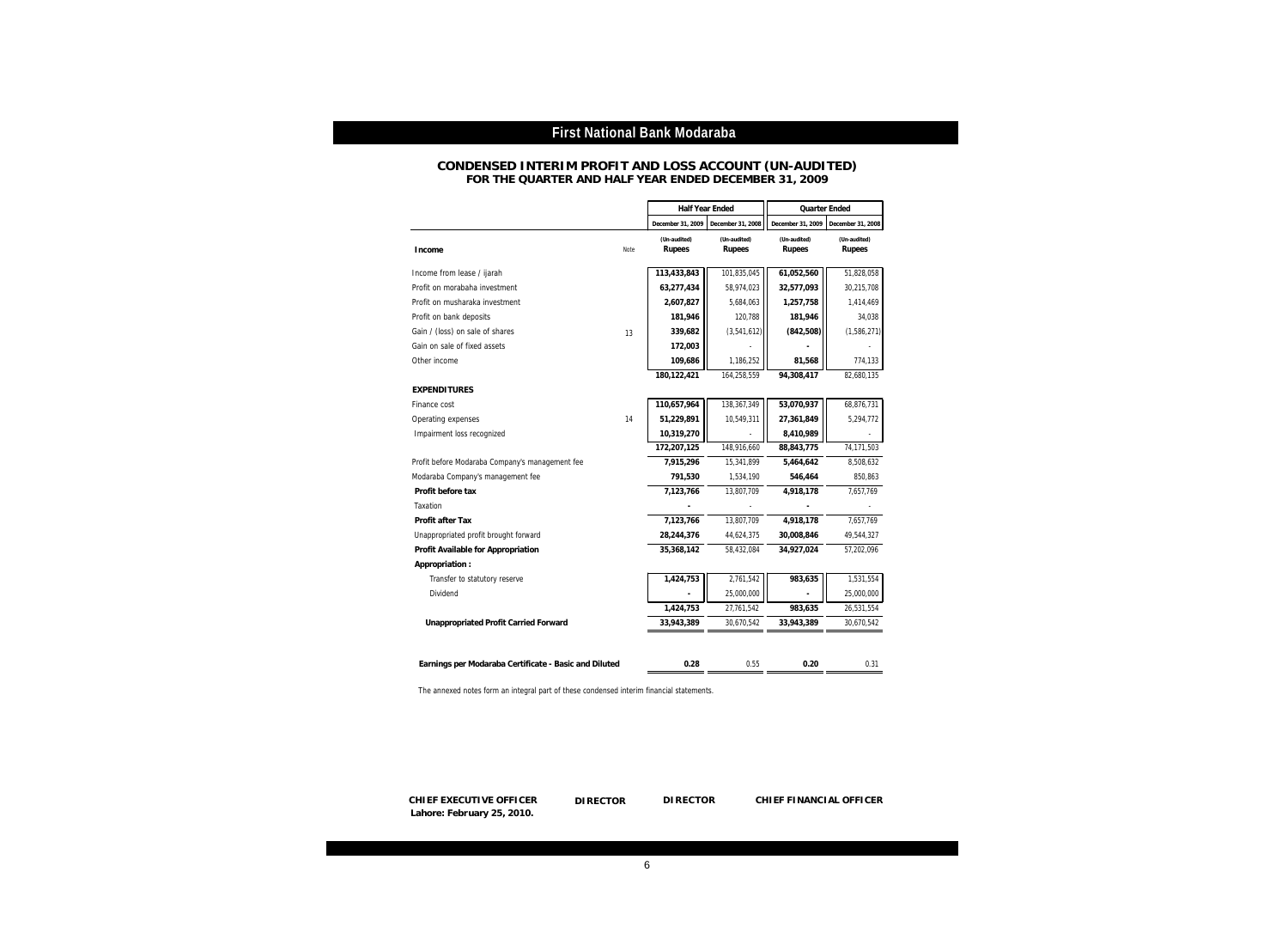#### **FOR THE QUARTER AND HALF YEAR ENDED DECEMBER 31, 2009 CONDENSED INTERIM PROFIT AND LOSS ACCOUNT (UN-AUDITED)**

|                                                       |      | Half Year Ended        |                        | Quarter Ended          |                        |
|-------------------------------------------------------|------|------------------------|------------------------|------------------------|------------------------|
|                                                       |      | December 31, 2009      | December 31, 2008      | December 31, 2009      | December 31, 2008      |
| <b>Income</b>                                         | Note | (Un-audited)<br>Rupees | (Un-audited)<br>Rupees | (Un-audited)<br>Rupees | (Un-audited)<br>Rupees |
| Income from lease / ijarah                            |      | 113,433,843            | 101,835,045            | 61,052,560             | 51.828.058             |
| Profit on morabaha investment                         |      | 63,277,434             | 58,974,023             | 32,577,093             | 30,215,708             |
| Profit on musharaka investment                        |      | 2,607,827              | 5,684,063              | 1,257,758              | 1,414,469              |
| Profit on bank deposits                               |      | 181,946                | 120,788                | 181,946                | 34,038                 |
| Gain / (loss) on sale of shares                       | 13   | 339,682                | (3,541,612)            | (842, 508)             | (1,586,271)            |
| Gain on sale of fixed assets                          |      | 172,003                |                        |                        |                        |
| Other income                                          |      | 109,686                | 1,186,252              | 81,568                 | 774,133                |
|                                                       |      | 180,122,421            | 164,258,559            | 94,308,417             | 82,680,135             |
| <b>EXPENDITURES</b>                                   |      |                        |                        |                        |                        |
| Finance cost                                          |      | 110,657,964            | 138,367,349            | 53,070,937             | 68,876,731             |
| Operating expenses                                    | 14   | 51,229,891             | 10,549,311             | 27,361,849             | 5,294,772              |
| Impairment loss recognized                            |      | 10,319,270             |                        | 8,410,989              |                        |
|                                                       |      | 172,207,125            | 148,916,660            | 88,843,775             | 74.171.503             |
| Profit before Modaraba Company's management fee       |      | 7,915,296              | 15,341,899             | 5,464,642              | 8,508,632              |
| Modaraba Company's management fee                     |      | 791,530                | 1,534,190              | 546,464                | 850,863                |
| Profit before tax                                     |      | 7,123,766              | 13,807,709             | 4,918,178              | 7,657,769              |
| Taxation                                              |      |                        |                        |                        |                        |
| Profit after Tax                                      |      | 7,123,766              | 13,807,709             | 4,918,178              | 7,657,769              |
| Unappropriated profit brought forward                 |      | 28,244,376             | 44,624,375             | 30,008,846             | 49,544,327             |
| Profit Available for Appropriation                    |      | 35,368,142             | 58,432,084             | 34,927,024             | 57,202,096             |
| Appropriation:                                        |      |                        |                        |                        |                        |
| Transfer to statutory reserve                         |      | 1,424,753              | 2,761,542              | 983,635                | 1,531,554              |
| Dividend                                              |      |                        | 25,000,000             |                        | 25,000,000             |
|                                                       |      | 1,424,753              | 27,761,542             | 983,635                | 26,531,554             |
| Unappropriated Profit Carried Forward                 |      | 33,943,389             | 30,670,542             | 33,943,389             | 30,670,542             |
|                                                       |      |                        |                        |                        |                        |
| Earnings per Modaraba Certificate - Basic and Diluted |      | 0.28                   | 0.55                   | 0.20                   | 0.31                   |

The annexed notes form an integral part of these condensed interim financial statements.

**CHIEF EXECUTIVE OFFICER DIRECTOR DIRECTOR CHIEF FINANCIAL OFFICER Lahore: February 25, 2010.**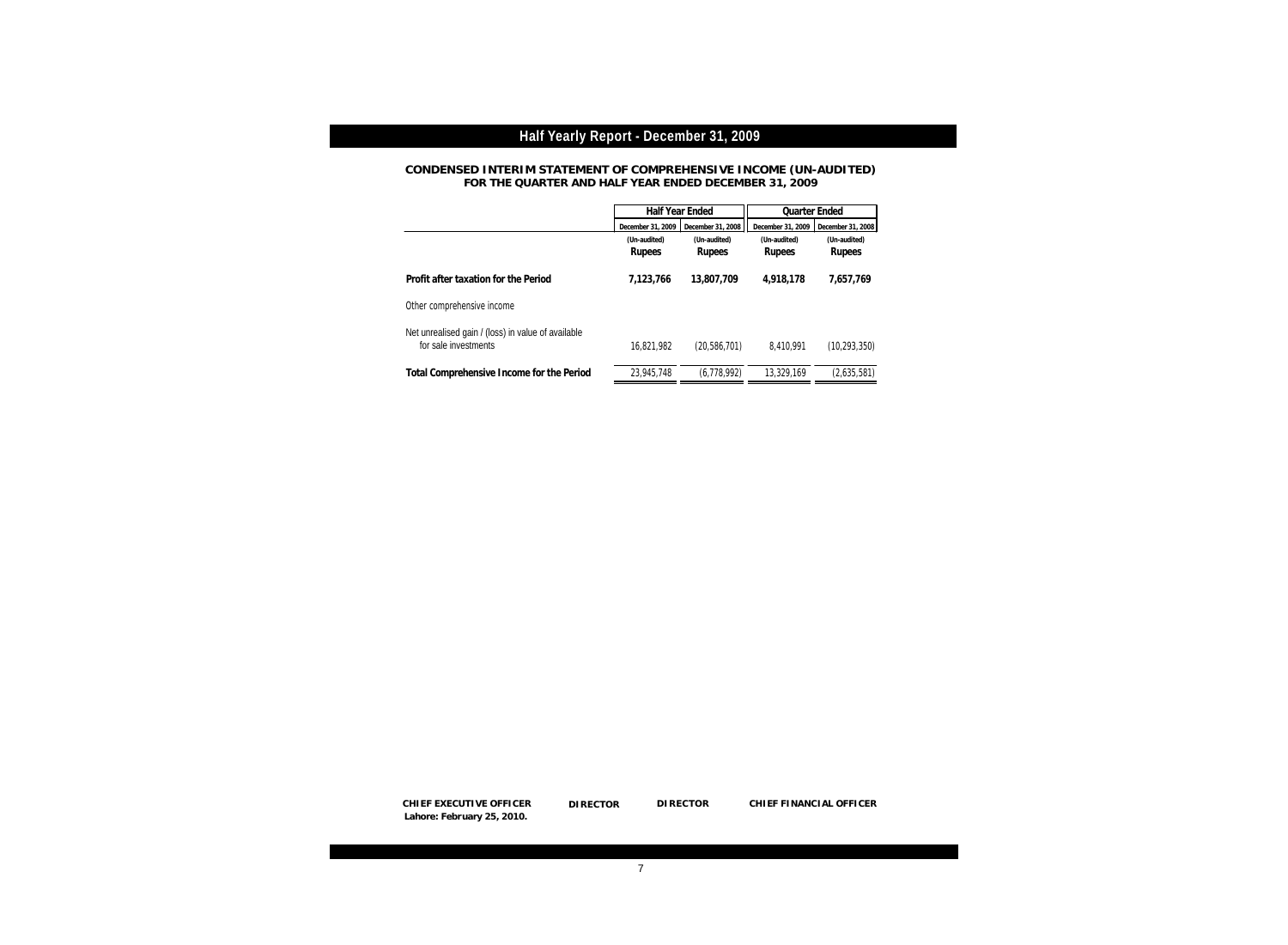**CONDENSED INTERIM STATEMENT OF COMPREHENSIVE INCOME (UN-AUDITED) FOR THE QUARTER AND HALF YEAR ENDED DECEMBER 31, 2009**

|                                                                            |                        | Half Year Ended                        |                        | Quarter Ended          |
|----------------------------------------------------------------------------|------------------------|----------------------------------------|------------------------|------------------------|
|                                                                            | December 31, 2009      | December 31, 2008<br>December 31, 2009 |                        | December 31, 2008      |
|                                                                            | (Un-audited)<br>Rupees | (Un-audited)<br>Rupees                 | (Un-audited)<br>Rupees | (Un-audited)<br>Rupees |
| Profit after taxation for the Period                                       | 7.123.766              | 13,807,709                             | 4.918.178              | 7.657.769              |
| Other comprehensive income                                                 |                        |                                        |                        |                        |
| Net unrealised gain / (loss) in value of available<br>for sale investments | 16.821.982             | (20,586,701)                           | 8,410,991              | (10, 293, 350)         |
| Total Comprehensive Income for the Period                                  | 23,945,748             | (6, 778, 992)                          | 13.329.169             | (2,635,581)            |

**DIRECTOR CHIEF EXECUTIVE OFFICER DIRECTOR DIRECTOR CHIEF FINANCIAL OFFICER Lahore: February 25, 2010.**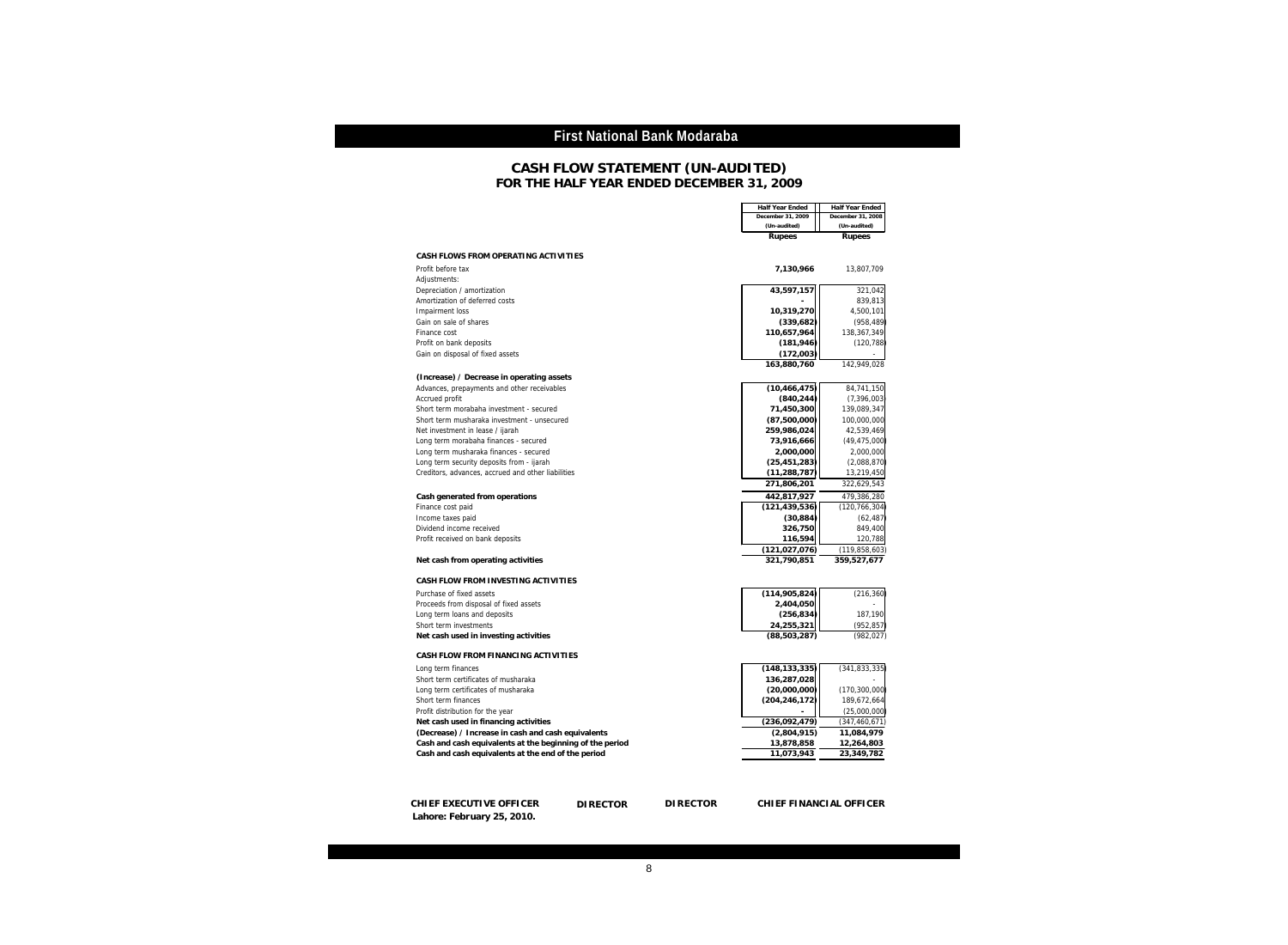#### **FOR THE HALF YEAR ENDED DECEMBER 31, 2009 CASH FLOW STATEMENT (UN-AUDITED)**

|                                                          | Half Year Ended<br>December 31, 2009 | Half Year Ended<br>December 31, 2008 |
|----------------------------------------------------------|--------------------------------------|--------------------------------------|
|                                                          | (Un-audited)                         | (Un-audited)                         |
|                                                          | Rupees                               | Rupees                               |
|                                                          |                                      |                                      |
| CASH FLOWS FROM OPERATING ACTIVITIES                     |                                      |                                      |
| Profit before tax                                        | 7,130,966                            | 13,807,709                           |
| Adjustments:                                             |                                      |                                      |
| Depreciation / amortization                              | 43,597,157                           | 321,042                              |
| Amortization of deferred costs                           |                                      | 839,813                              |
| Impairment loss                                          | 10,319,270                           | 4,500,101                            |
| Gain on sale of shares                                   | (339, 682)                           | (958, 489)                           |
| Finance cost                                             | 110,657,964                          | 138,367,349                          |
| Profit on bank deposits                                  | (181, 946)                           | (120, 788)                           |
| Gain on disposal of fixed assets                         | (172,003)                            |                                      |
|                                                          | 163,880,760                          | 142,949,028                          |
| (Increase) / Decrease in operating assets                |                                      |                                      |
| Advances, prepayments and other receivables              | (10, 466, 475)                       | 84,741,150                           |
| Accrued profit                                           | (840, 244)                           | (7, 396, 003)                        |
| Short term morabaha investment - secured                 | 71,450,300                           | 139,089,347                          |
| Short term musharaka investment - unsecured              | (87,500,000)                         | 100,000,000                          |
| Net investment in lease / ijarah                         | 259,986,024                          | 42,539,469                           |
| Long term morabaha finances - secured                    | 73,916,666                           | (49, 475, 000)                       |
| Long term musharaka finances - secured                   | 2,000,000                            | 2,000,000                            |
| Long term security deposits from - ijarah                | (25, 451, 283)                       | (2,088,870)                          |
| Creditors, advances, accrued and other liabilities       | (11, 288, 787)                       | 13,219,450                           |
|                                                          | 271,806,201                          | 322,629,543                          |
| Cash generated from operations                           | 442,817,927                          | 479,386,280                          |
| Finance cost paid                                        | (121, 439, 536)                      | (120, 766, 304)                      |
| Income taxes paid                                        | (30, 884)                            | (62, 487)                            |
| Dividend income received                                 | 326,750                              | 849,400                              |
| Profit received on bank deposits                         | 116,594                              | 120,788                              |
|                                                          | (121, 027, 076)                      | (119, 858, 603)                      |
| Net cash from operating activities                       | 321,790,851                          | 359.527.677                          |
| CASH FLOW FROM INVESTING ACTIVITIES                      |                                      |                                      |
| Purchase of fixed assets                                 | (114, 905, 824)                      | (216, 360)                           |
| Proceeds from disposal of fixed assets                   | 2,404,050                            |                                      |
| Long term loans and deposits                             | (256, 834)                           | 187,190                              |
| Short term investments                                   | 24,255,321                           | (952.857                             |
| Net cash used in investing activities                    | (88, 503, 287)                       | (982, 027)                           |
|                                                          |                                      |                                      |
| CASH FLOW FROM FINANCING ACTIVITIES                      |                                      |                                      |
| Long term finances                                       | (148, 133, 335)                      | (341, 833, 335)                      |
| Short term certificates of musharaka                     | 136,287,028                          |                                      |
| Long term certificates of musharaka                      | (20,000,000)                         | (170, 300, 000)                      |
| Short term finances                                      | (204, 246, 172)                      | 189,672,664                          |
| Profit distribution for the year                         |                                      | (25,000,000)                         |
| Net cash used in financing activities                    | (236,092,479)                        | (347, 460, 671)                      |
| (Decrease) / Increase in cash and cash equivalents       | (2,804,915)                          | 11,084,979                           |
| Cash and cash equivalents at the beginning of the period | 13,878,858                           | 12,264,803                           |
| Cash and cash equivalents at the end of the period       | 11,073,943                           | 23,349,782                           |
|                                                          |                                      |                                      |
|                                                          |                                      |                                      |

**CHIEF EXECUTIVE OFFICER DIRECTOR DIRECTOR CHIEF FINANCIAL OFFICER Lahore: February 25, 2010.**

CHIEF FINANCIAL OFFICER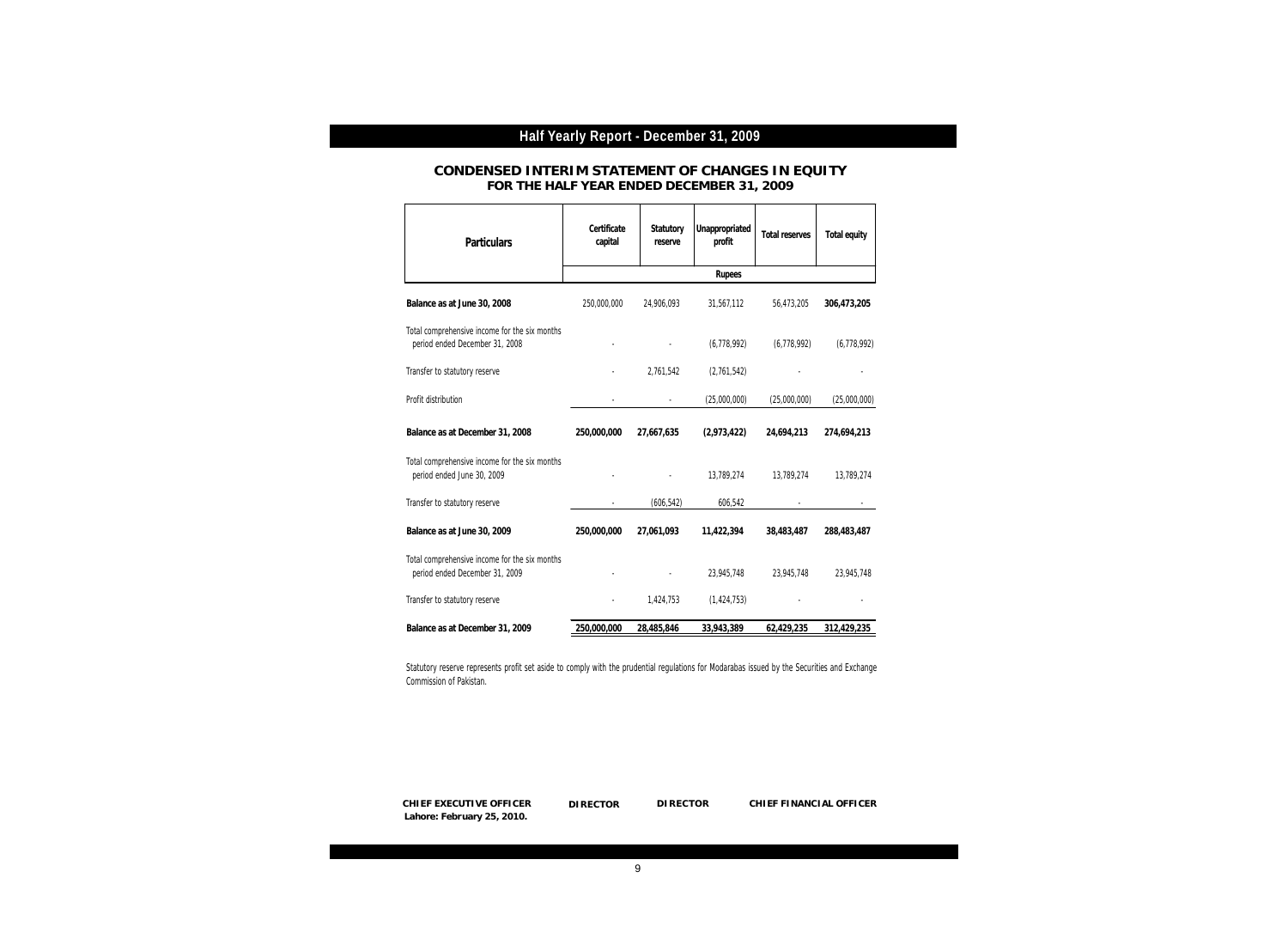#### **CONDENSED INTERIM STATEMENT OF CHANGES IN EQUITY FOR THE HALF YEAR ENDED DECEMBER 31, 2009**

| Particulars                                                                     | Certificate<br>capital   | Statutory<br>reserve | Unappropriated<br>profit | Total reserves | Total equity |
|---------------------------------------------------------------------------------|--------------------------|----------------------|--------------------------|----------------|--------------|
|                                                                                 |                          |                      | Rupees                   |                |              |
| Balance as at June 30, 2008                                                     | 250,000,000              | 24,906,093           | 31,567,112               | 56,473,205     | 306,473,205  |
| Total comprehensive income for the six months<br>period ended December 31, 2008 |                          |                      | (6,778,992)              | (6,778,992)    | (6,778,992)  |
| Transfer to statutory reserve                                                   |                          | 2,761,542            | (2,761,542)              |                |              |
| Profit distribution                                                             |                          |                      | (25,000,000)             | (25,000,000)   | (25,000,000) |
| Balance as at December 31, 2008                                                 | 250,000,000              | 27,667,635           | (2,973,422)              | 24,694,213     | 274,694,213  |
| Total comprehensive income for the six months<br>period ended June 30, 2009     |                          |                      | 13,789,274               | 13,789,274     | 13,789,274   |
| Transfer to statutory reserve                                                   | $\overline{\phantom{a}}$ | (606, 542)           | 606,542                  |                |              |
| Balance as at June 30, 2009                                                     | 250,000,000              | 27,061,093           | 11,422,394               | 38,483,487     | 288,483,487  |
| Total comprehensive income for the six months<br>period ended December 31, 2009 |                          |                      | 23,945,748               | 23,945,748     | 23,945,748   |
| Transfer to statutory reserve                                                   |                          | 1,424,753            | (1, 424, 753)            |                |              |
| Balance as at December 31, 2009                                                 | 250,000,000              | 28,485,846           | 33,943,389               | 62,429,235     | 312,429,235  |

Statutory reserve represents profit set aside to comply with the prudential regulations for Modarabas issued by the Securities and Exchange Commission of Pakistan.

**DIRECTOR CHIEF EXECUTIVE OFFICER DIRECTOR DIRECTOR CHIEF FINANCIAL OFFICER Lahore: February 25, 2010.**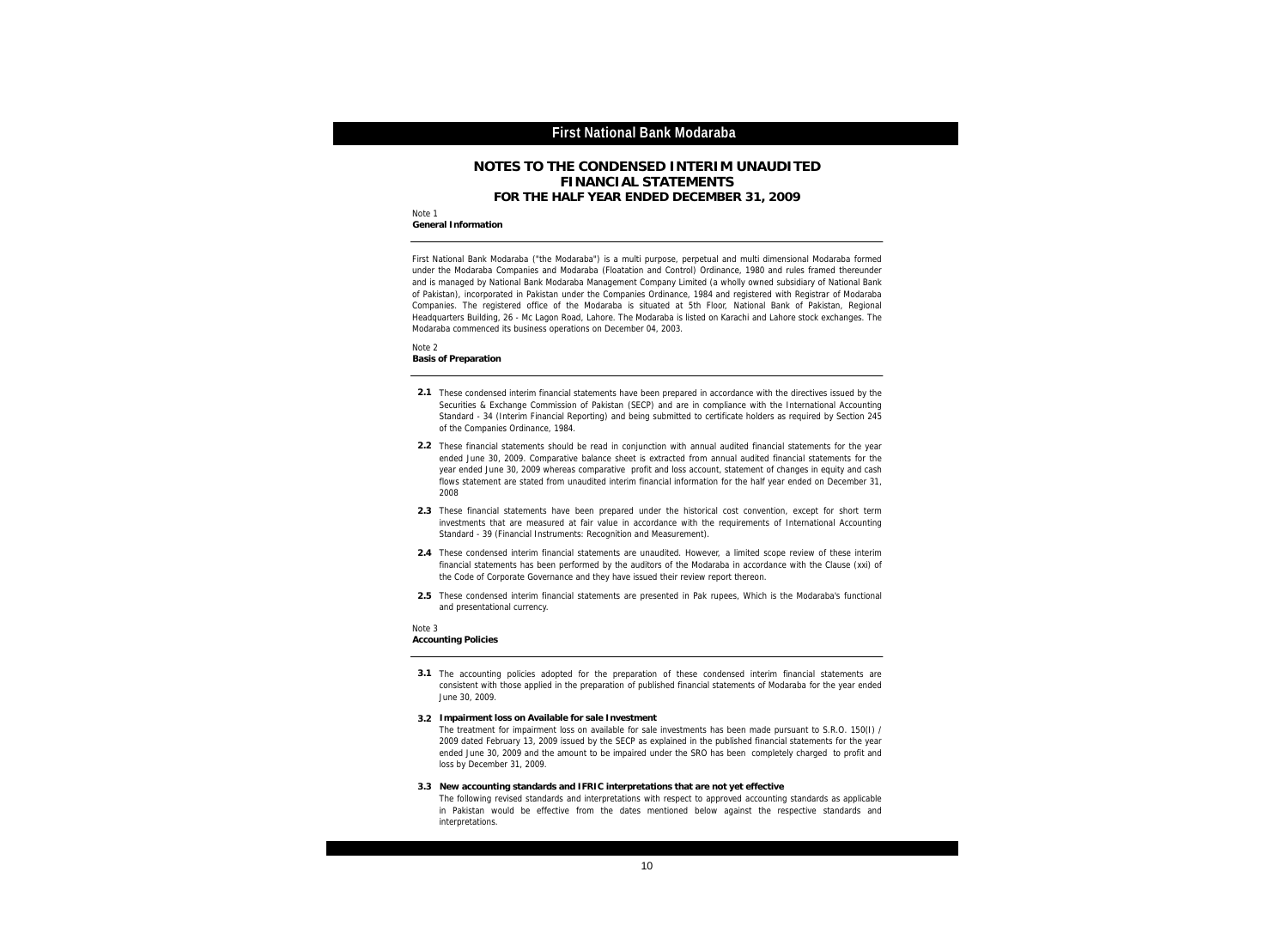#### **NOTES TO THE CONDENSED INTERIM UNAUDITED FINANCIAL STATEMENTS FOR THE HALF YEAR ENDED DECEMBER 31, 2009**

Note 1 **General Information**

> First National Bank Modaraba ("the Modaraba") is a multi purpose, perpetual and multi dimensional Modaraba formed under the Modaraba Companies and Modaraba (Floatation and Control) Ordinance, 1980 and rules framed thereunder and is managed by National Bank Modaraba Management Company Limited (a wholly owned subsidiary of National Bank of Pakistan), incorporated in Pakistan under the Companies Ordinance, 1984 and registered with Registrar of Modaraba Companies. The registered office of the Modaraba is situated at 5th Floor, National Bank of Pakistan, Regional Headquarters Building, 26 - Mc Lagon Road, Lahore. The Modaraba is listed on Karachi and Lahore stock exchanges. The Modaraba commenced its business operations on December 04, 2003.

Note 2 **Basis of Preparation**

- **2.1** These condensed interim financial statements have been prepared in accordance with the directives issued by the Securities & Exchange Commission of Pakistan (SECP) and are in compliance with the International Accounting Standard - 34 (Interim Financial Reporting) and being submitted to certificate holders as required by Section 245 of the Companies Ordinance, 1984.
- **2.2** These financial statements should be read in conjunction with annual audited financial statements for the year ended June 30, 2009. Comparative balance sheet is extracted from annual audited financial statements for the year ended June 30, 2009 whereas comparative profit and loss account, statement of changes in equity and cash flows statement are stated from unaudited interim financial information for the half year ended on December 31, 2008
- **2.3** These financial statements have been prepared under the historical cost convention, except for short term investments that are measured at fair value in accordance with the requirements of International Accounting Standard - 39 (Financial Instruments: Recognition and Measurement).
- **2.4** These condensed interim financial statements are unaudited. However, a limited scope review of these interim financial statements has been performed by the auditors of the Modaraba in accordance with the Clause (xxi) of the Code of Corporate Governance and they have issued their review report thereon.
- **2.5** These condensed interim financial statements are presented in Pak rupees, Which is the Modaraba's functional and presentational currency.

- **3.1** The accounting policies adopted for the preparation of these condensed interim financial statements are consistent with those applied in the preparation of published financial statements of Modaraba for the year ended June 30, 2009.
- **3.2 Impairment loss on Available for sale Investment** The treatment for impairment loss on available for sale investments has been made pursuant to S.R.O. 150(I) / 2009 dated February 13, 2009 issued by the SECP as explained in the published financial statements for the year ended June 30, 2009 and the amount to be impaired under the SRO has been completely charged to profit and loss by December 31, 2009.
- New accounting standards and IFRIC interpretations that are not yet effective<br>The following revised standards and interpretations with respect to approved accounting standards as applicable **3.3 New accounting standards and IFRIC interpretations that are not yet effective** in Pakistan would be effective from the dates mentioned below against the respective standards and interpretations.

Note 3 **Accounting Policies**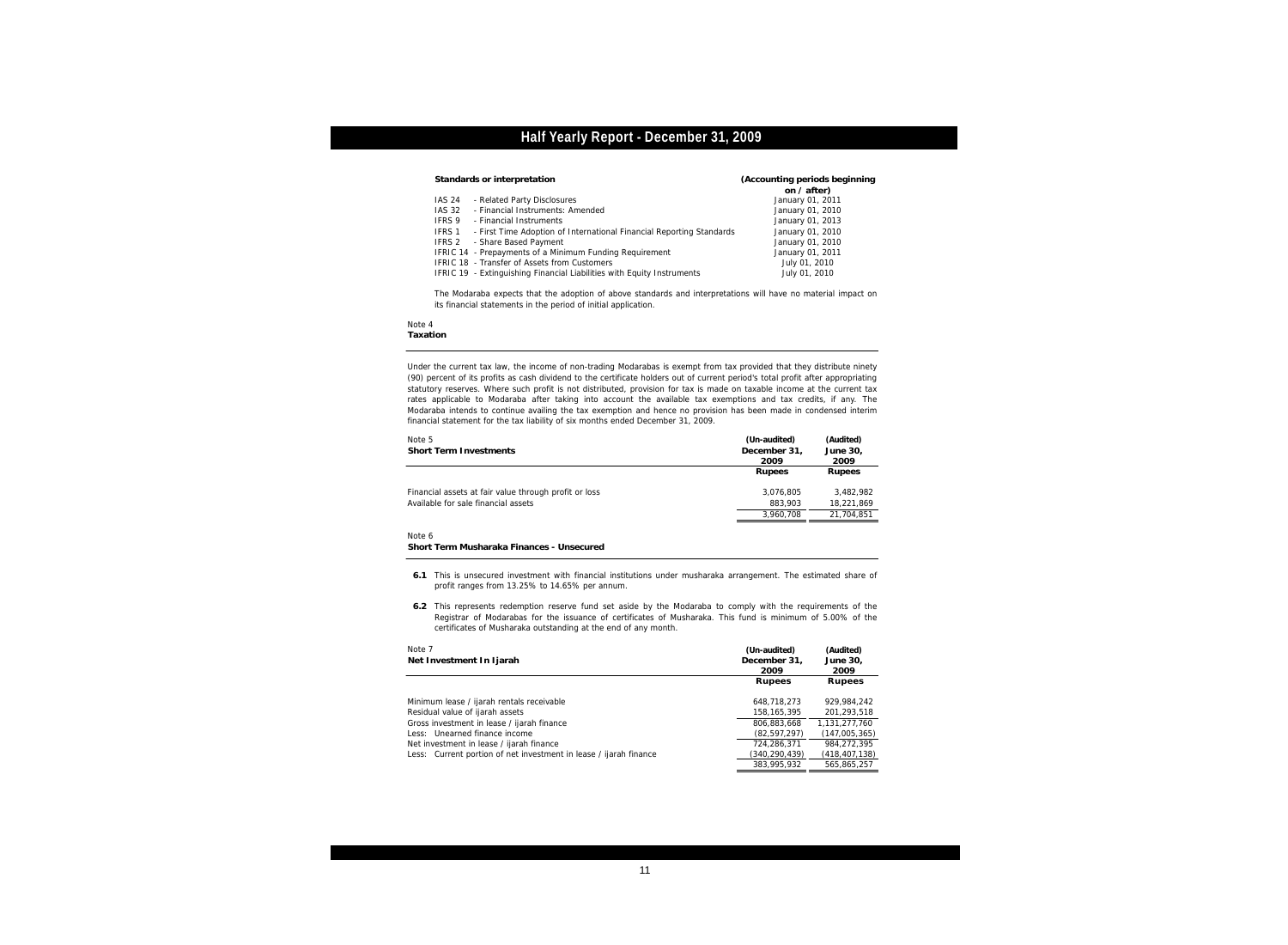| Standards or interpretation |               |                                                                        | (Accounting periods beginning |
|-----------------------------|---------------|------------------------------------------------------------------------|-------------------------------|
|                             |               |                                                                        | on $/$ after)                 |
|                             | IAS 24        | - Related Party Disclosures                                            | January 01, 2011              |
|                             | <b>IAS 32</b> | - Financial Instruments: Amended                                       | January 01, 2010              |
|                             | IFRS 9        | - Financial Instruments                                                | January 01, 2013              |
|                             | IFRS 1        | - First Time Adoption of International Financial Reporting Standards   | January 01, 2010              |
|                             | IFRS 2        | - Share Based Payment                                                  | January 01, 2010              |
|                             |               | IFRIC 14 - Prepayments of a Minimum Funding Requirement                | January 01, 2011              |
|                             |               | IFRIC 18 - Transfer of Assets from Customers                           | July 01, 2010                 |
|                             |               | IFRIC 19 - Extinguishing Financial Liabilities with Equity Instruments | July 01, 2010                 |
|                             |               |                                                                        |                               |

The Modaraba expects that the adoption of above standards and interpretations will have no material impact on its financial statements in the period of initial application.

#### Note 4 **Taxation**

Under the current tax law, the income of non-trading Modarabas is exempt from tax provided that they distribute ninety (90) percent of its profits as cash dividend to the certificate holders out of current period's total profit after appropriating statutory reserves. Where such profit is not distributed, provision for tax is made on taxable income at the current tax rates applicable to Modaraba after taking into account the available tax exemptions and tax credits, if any. The Modaraba intends to continue availing the tax exemption and hence no provision has been made in condensed interim financial statement for the tax liability of six months ended December 31, 2009.

| Note 5<br><b>Short Term Investments</b>                                                      | (Un-audited)<br>December 31.<br>2009 | (Audited)<br>June 30,<br>2009 |
|----------------------------------------------------------------------------------------------|--------------------------------------|-------------------------------|
|                                                                                              | Rupees                               | Rupees                        |
| Financial assets at fair value through profit or loss<br>Available for sale financial assets | 3.076.805<br>883.903                 | 3.482.982<br>18,221,869       |
|                                                                                              | 3.960.708                            | 21.704.851                    |
|                                                                                              |                                      |                               |

Note 6

**Short Term Musharaka Finances - Unsecured**

**6.1** This is unsecured investment with financial institutions under musharaka arrangement. The estimated share of profit ranges from 13.25% to 14.65% per annum.

**6.2** This represents redemption reserve fund set aside by the Modaraba to comply with the requirements of the Registrar of Modarabas for the issuance of certificates of Musharaka. This fund is minimum of 5.00% of the certificates of Musharaka outstanding at the end of any month.

| Note 7                                                            | (Un-audited)   | (Audited)       |
|-------------------------------------------------------------------|----------------|-----------------|
| Net Investment In Ijarah                                          | December 31.   | June 30,        |
|                                                                   | 2009           | 2009            |
|                                                                   | Rupees         | Rupees          |
| Minimum lease / ijarah rentals receivable                         | 648.718.273    | 929.984.242     |
| Residual value of ijarah assets                                   | 158,165,395    | 201.293.518     |
| Gross investment in lease / ijarah finance                        | 806.883.668    | 1.131.277.760   |
| Less: Unearned finance income                                     | (82, 597, 297) | (147,005,365)   |
| Net investment in lease / ijarah finance                          | 724,286,371    | 984.272.395     |
| Less: Current portion of net investment in lease / ijarah finance | (340,290,439)  | (418, 407, 138) |
|                                                                   | 383,995,932    | 565.865.257     |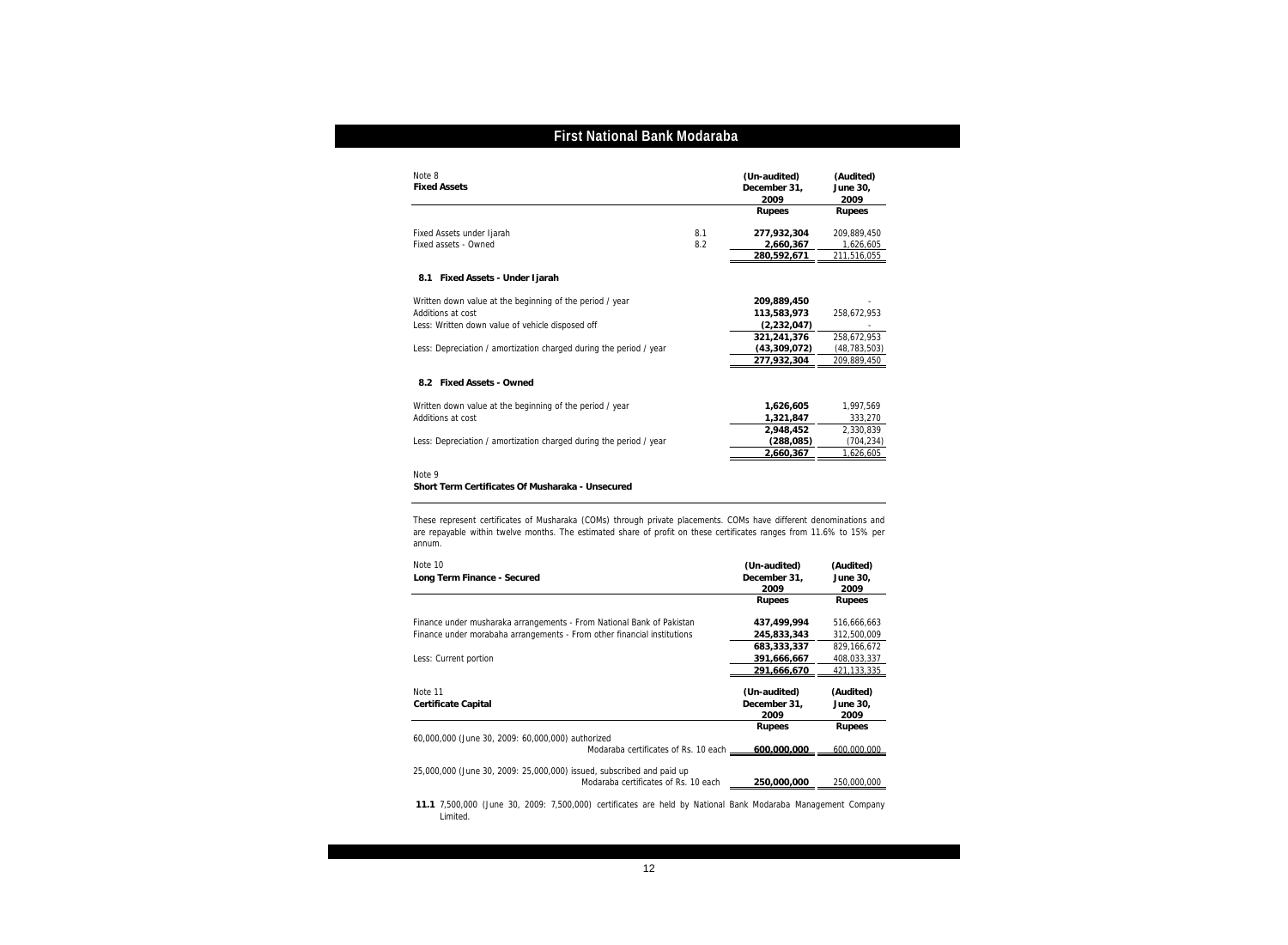| Note 8<br><b>Fixed Assets</b>                                      |     | (Un-audited)<br>December 31,<br>2009 | (Audited)<br>June 30,<br>2009 |
|--------------------------------------------------------------------|-----|--------------------------------------|-------------------------------|
|                                                                    |     | <b>Rupees</b>                        | Rupees                        |
| Fixed Assets under Ijarah                                          | 8.1 | 277,932,304                          | 209,889,450                   |
| Fixed assets - Owned                                               | 8.2 | 2,660,367<br>280,592,671             | 1,626,605<br>211,516,055      |
| 8.1 Fixed Assets - Under Ijarah                                    |     |                                      |                               |
| Written down value at the beginning of the period / year           |     | 209,889,450                          |                               |
| Additions at cost                                                  |     | 113,583,973                          | 258,672,953                   |
| Less: Written down value of vehicle disposed off                   |     | (2, 232, 047)                        |                               |
|                                                                    |     | 321,241,376                          | 258,672,953                   |
| Less: Depreciation / amortization charged during the period / year |     | (43,309,072)                         | (48, 783, 503)                |
|                                                                    |     | 277,932,304                          | 209,889,450                   |
| 8.2 Fixed Assets - Owned                                           |     |                                      |                               |
| Written down value at the beginning of the period / year           |     | 1,626,605                            | 1,997,569                     |
| Additions at cost                                                  |     | 1,321,847                            | 333,270                       |
|                                                                    |     | 2.948.452                            | 2.330.839                     |
| Less: Depreciation / amortization charged during the period / year |     | (288, 085)                           | (704, 234)                    |
|                                                                    |     | 2,660,367                            | 1,626,605                     |

**Short Term Certificates Of Musharaka - Unsecured**

These represent certificates of Musharaka (COMs) through private placements. COMs have different denominations and are repayable within twelve months. The estimated share of profit on these certificates ranges from 11.6% to 15% per annum.

| Note 10<br>Long Term Finance - Secured                                                                                                           | (Un-audited)<br>December 31,<br>2009 | (Audited)<br>June 30,<br>2009 |
|--------------------------------------------------------------------------------------------------------------------------------------------------|--------------------------------------|-------------------------------|
|                                                                                                                                                  | Rupees                               | Rupees                        |
| Finance under musharaka arrangements - From National Bank of Pakistan<br>Finance under morabaha arrangements - From other financial institutions | 437,499,994<br>245,833,343           | 516,666,663<br>312,500,009    |
| Less: Current portion                                                                                                                            | 683.333.337<br>391,666,667           | 829.166.672<br>408,033,337    |
|                                                                                                                                                  | 291,666,670                          | 421,133,335                   |
| Note 11<br>Certificate Capital                                                                                                                   | (Un-audited)<br>December 31,<br>2009 | (Audited)<br>June 30,<br>2009 |
| 60,000,000 (June 30, 2009: 60,000,000) authorized<br>Modaraba certificates of Rs. 10 each ____                                                   | Rupees<br>600,000,000                | Rupees<br>600,000,000         |
| 25,000,000 (June 30, 2009: 25,000,000) issued, subscribed and paid up<br>Modaraba certificates of Rs. 10 each                                    | 250,000,000                          | 250,000,000                   |

**11.1** 7,500,000 (June 30, 2009: 7,500,000) certificates are held by National Bank Modaraba Management Company Limited.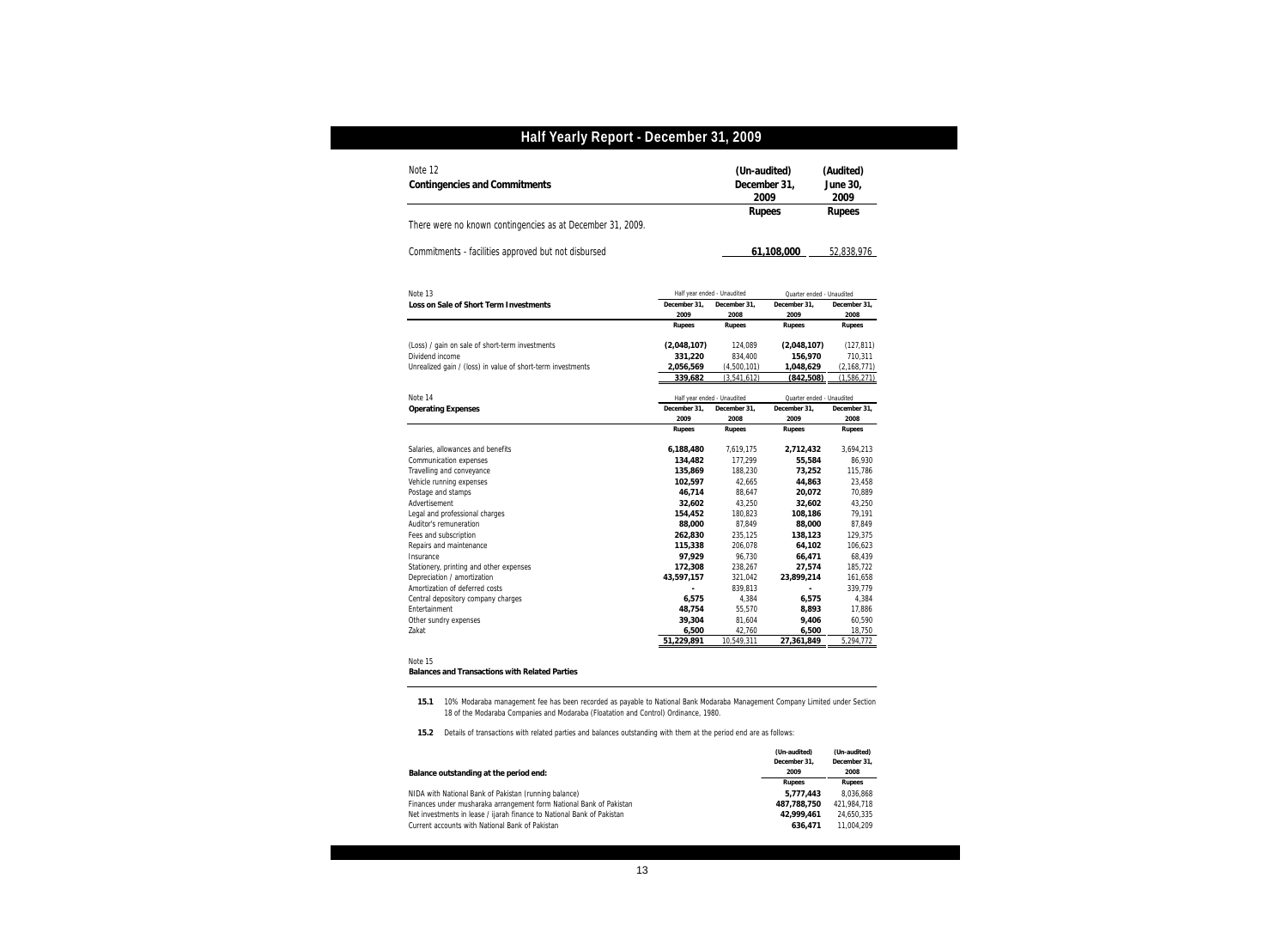| Note 12<br>Contingencies and Commitments                    |                             | (Un-audited)<br>December 31.<br>2009 |                           | (Audited)<br>June 30,<br>2009 |  |
|-------------------------------------------------------------|-----------------------------|--------------------------------------|---------------------------|-------------------------------|--|
|                                                             |                             | Rupees                               |                           | Rupees                        |  |
| There were no known contingencies as at December 31, 2009.  |                             |                                      |                           |                               |  |
| Commitments - facilities approved but not disbursed         |                             |                                      | 61,108,000                | 52,838,976                    |  |
| Note 13                                                     | Half year ended - Unaudited |                                      |                           | Quarter ended - Unaudited     |  |
| Loss on Sale of Short Term Investments                      | December 31.                | December 31,                         | December 31.              | December 31,                  |  |
|                                                             | 2009                        | 2008                                 | 2009                      | 2008                          |  |
|                                                             | Rupees                      | Rupees                               | Rupees                    | Rupees                        |  |
| (Loss) / gain on sale of short-term investments             | (2,048,107)                 | 124,089                              | (2,048,107)               | (127, 811)                    |  |
| Dividend income                                             | 331,220                     | 834.400                              | 156.970                   | 710,311                       |  |
| Unrealized gain / (loss) in value of short-term investments | 2,056,569                   | (4,500,101)                          | 1,048,629                 | (2, 168, 771)                 |  |
|                                                             | 339.682                     | (3, 541, 612)                        | (842,508)                 | (1,586,271)                   |  |
| Note 14                                                     | Half year ended - Unaudited |                                      | Quarter ended - Unaudited |                               |  |
| <b>Operating Expenses</b>                                   | December 31,                | December 31,                         | December 31,              | December 31,                  |  |
|                                                             | 2009                        | 2008                                 | 2009                      | 2008                          |  |
|                                                             | Rupees                      | Rupees                               | Rupees                    | Rupees                        |  |
| Salaries, allowances and benefits                           | 6,188,480                   | 7,619,175                            | 2,712,432                 | 3,694,213                     |  |
| Communication expenses                                      | 134,482                     | 177,299                              | 55,584                    | 86,930                        |  |
| Travelling and conveyance                                   | 135,869                     | 188,230                              | 73,252                    | 115,786                       |  |
| Vehicle running expenses                                    | 102,597                     | 42,665                               | 44,863                    | 23,458                        |  |
| Postage and stamps                                          | 46.714                      | 88,647                               | 20,072                    | 70,889                        |  |
| Advertisement                                               | 32,602                      | 43,250                               | 32,602                    | 43,250                        |  |
| Legal and professional charges                              | 154.452                     | 180,823                              | 108.186                   | 79.191                        |  |
| Auditor's remuneration                                      | 88,000                      | 87,849                               | 88,000                    | 87,849                        |  |
| Fees and subscription                                       | 262,830                     | 235,125                              | 138,123                   | 129,375                       |  |
| Repairs and maintenance                                     | 115,338                     | 206,078                              | 64,102                    | 106,623                       |  |
| Insurance                                                   | 97,929                      | 96,730                               | 66,471                    | 68,439                        |  |
| Stationery, printing and other expenses                     | 172,308                     | 238,267                              | 27,574                    | 185,722                       |  |
| Depreciation / amortization                                 | 43,597,157                  | 321,042                              | 23,899,214                | 161,658                       |  |
| Amortization of deferred costs                              |                             | 839,813                              | ÷.                        | 339,779                       |  |
| Central depository company charges                          | 6,575                       | 4,384                                | 6,575                     | 4,384                         |  |
| Entertainment                                               | 48,754                      | 55,570                               | 8,893                     | 17,886                        |  |
| Other sundry expenses                                       | 39,304                      | 81,604                               | 9,406                     | 60,590                        |  |
| Zakat                                                       |                             | 42,760                               | 6,500                     | 18,750                        |  |
|                                                             | 6,500<br>51,229,891         | 10,549,311                           | 27,361,849                | 5,294,772                     |  |

#### Note 15 **Balances and Transactions with Related Parties**

**15.1** 10% Modaraba management fee has been recorded as payable to National Bank Modaraba Management Company Limited under Section 18 of the Modaraba Companies and Modaraba (Floatation and Control) Ordinance, 1980.

**15.2** Details of transactions with related parties and balances outstanding with them at the period end are as follows:

|                                                                        | (Un-audited)  | (Un-audited)  |  |
|------------------------------------------------------------------------|---------------|---------------|--|
|                                                                        | December 31.  | December 31.  |  |
| Balance outstanding at the period end:                                 | 2009          | 2008          |  |
|                                                                        | <b>Rupees</b> | <b>Rupees</b> |  |
| NIDA with National Bank of Pakistan (running balance)                  | 5.777.443     | 8.036.868     |  |
| Finances under musharaka arrangement form National Bank of Pakistan    | 487.788.750   | 421.984.718   |  |
| Net investments in lease / ijarah finance to National Bank of Pakistan | 42.999.461    | 24.650.335    |  |
| Current accounts with National Bank of Pakistan                        | 636.471       | 11.004.209    |  |
|                                                                        |               |               |  |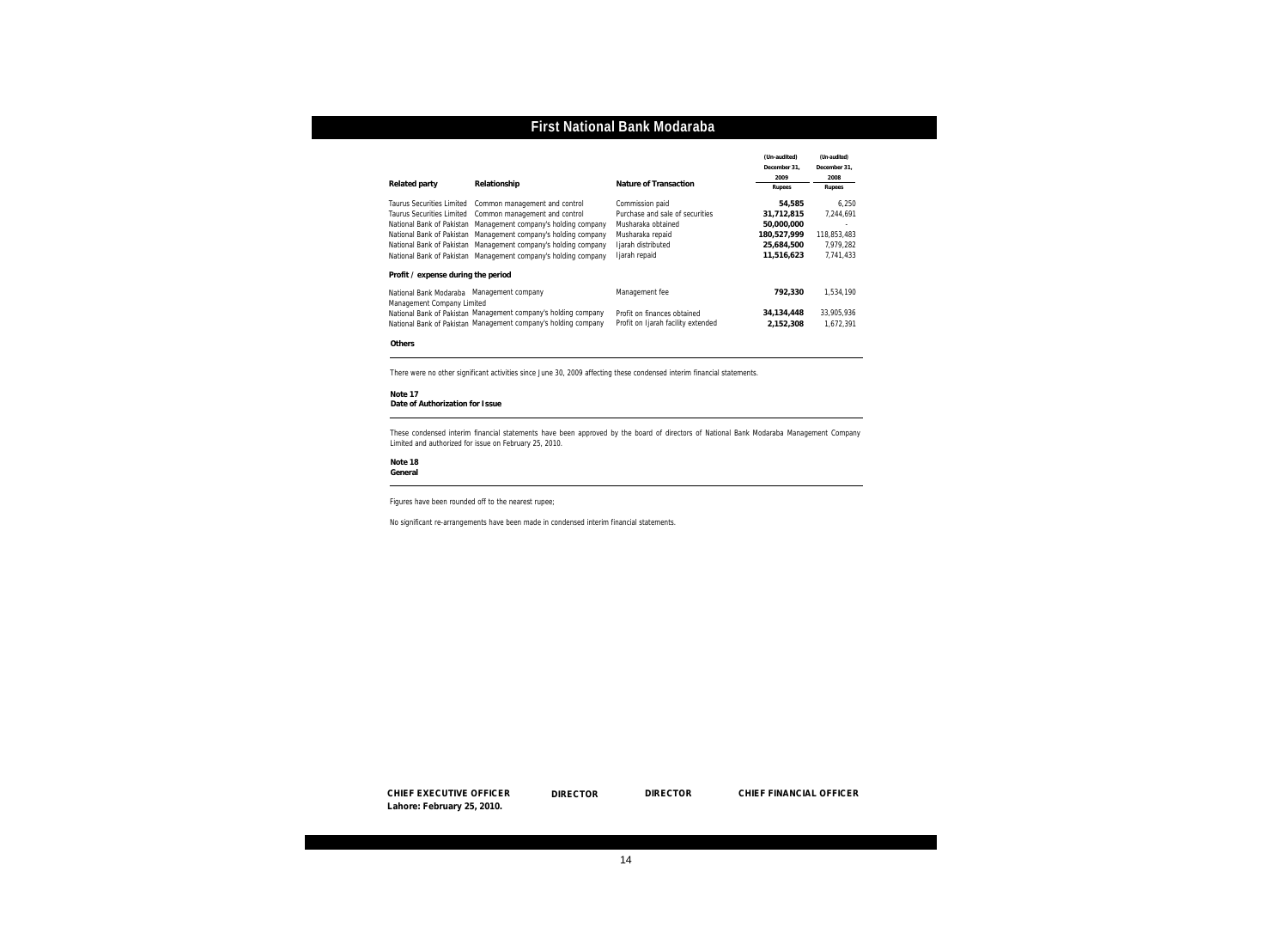|                                                      |                                                                |                                    | (Un-audited) | (Un-audited) |
|------------------------------------------------------|----------------------------------------------------------------|------------------------------------|--------------|--------------|
|                                                      |                                                                |                                    | December 31. | December 31. |
|                                                      |                                                                |                                    | 2009         | 2008         |
| Related party                                        | Relationship                                                   | Nature of Transaction              | Rupees       | Rupees       |
| Taurus Securities Limited                            | Common management and control                                  | Commission paid                    | 54.585       | 6.250        |
| Taurus Securities Limited                            | Common management and control                                  | Purchase and sale of securities    | 31.712.815   | 7.244.691    |
|                                                      | National Bank of Pakistan Management company's holding company | Musharaka obtained                 | 50.000.000   |              |
|                                                      | National Bank of Pakistan Management company's holding company | Musharaka repaid                   | 180,527,999  | 118.853.483  |
|                                                      | National Bank of Pakistan Management company's holding company | Ijarah distributed                 | 25,684,500   | 7.979.282    |
|                                                      | National Bank of Pakistan Management company's holding company | Ijarah repaid                      | 11,516,623   | 7.741.433    |
| Profit / expense during the period                   |                                                                |                                    |              |              |
| National Bank Modaraba<br>Management Company Limited | Management company                                             | Management fee                     | 792.330      | 1.534.190    |
|                                                      | National Bank of Pakistan Management company's holding company | Profit on finances obtained        | 34,134,448   | 33,905,936   |
|                                                      | National Bank of Pakistan Management company's holding company | Profit on Ijarah facility extended | 2.152.308    | 1.672.391    |

**Others**

There were no other significant activities since June 30, 2009 affecting these condensed interim financial statements.

```
Note 17
```
**Date of Authorization for Issue**

These condensed interim financial statements have been approved by the board of directors of National Bank Modaraba Management Company Limited and authorized for issue on February 25, 2010.

**Note 18**

**General**

Figures have been rounded off to the nearest rupee;

No significant re-arrangements have been made in condensed interim financial statements.

**CHIEF FINANCIAL OFFICER CHIEF EXECUTIVE OFFICER DIRECTOR DIRECTOR CHIEF FINANCIAL OFFICER Lahore: February 25, 2010.**